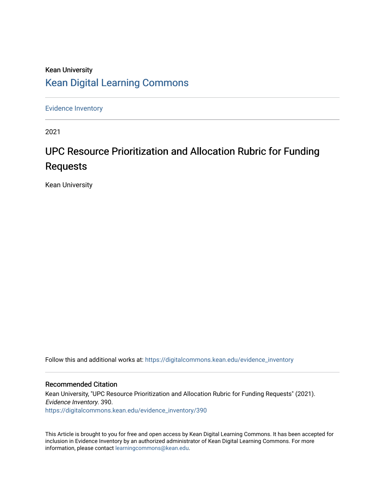## Kean University [Kean Digital Learning Commons](https://digitalcommons.kean.edu/)

[Evidence Inventory](https://digitalcommons.kean.edu/evidence_inventory) 

2021

# UPC Resource Prioritization and Allocation Rubric for Funding Requests

Kean University

Follow this and additional works at: [https://digitalcommons.kean.edu/evidence\\_inventory](https://digitalcommons.kean.edu/evidence_inventory?utm_source=digitalcommons.kean.edu%2Fevidence_inventory%2F390&utm_medium=PDF&utm_campaign=PDFCoverPages)

#### Recommended Citation

Kean University, "UPC Resource Prioritization and Allocation Rubric for Funding Requests" (2021). Evidence Inventory. 390. [https://digitalcommons.kean.edu/evidence\\_inventory/390](https://digitalcommons.kean.edu/evidence_inventory/390?utm_source=digitalcommons.kean.edu%2Fevidence_inventory%2F390&utm_medium=PDF&utm_campaign=PDFCoverPages)

This Article is brought to you for free and open access by Kean Digital Learning Commons. It has been accepted for inclusion in Evidence Inventory by an authorized administrator of Kean Digital Learning Commons. For more information, please contact [learningcommons@kean.edu](mailto:learningcommons@kean.edu).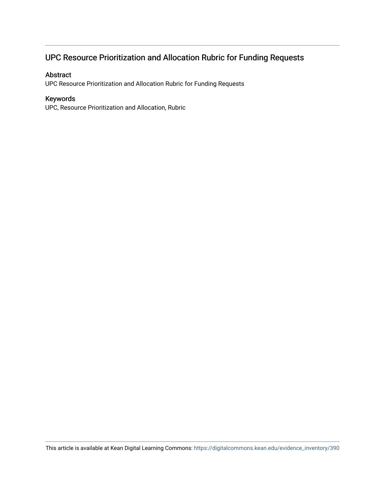## UPC Resource Prioritization and Allocation Rubric for Funding Requests

### Abstract

UPC Resource Prioritization and Allocation Rubric for Funding Requests

#### Keywords

UPC, Resource Prioritization and Allocation, Rubric

This article is available at Kean Digital Learning Commons: [https://digitalcommons.kean.edu/evidence\\_inventory/390](https://digitalcommons.kean.edu/evidence_inventory/390)